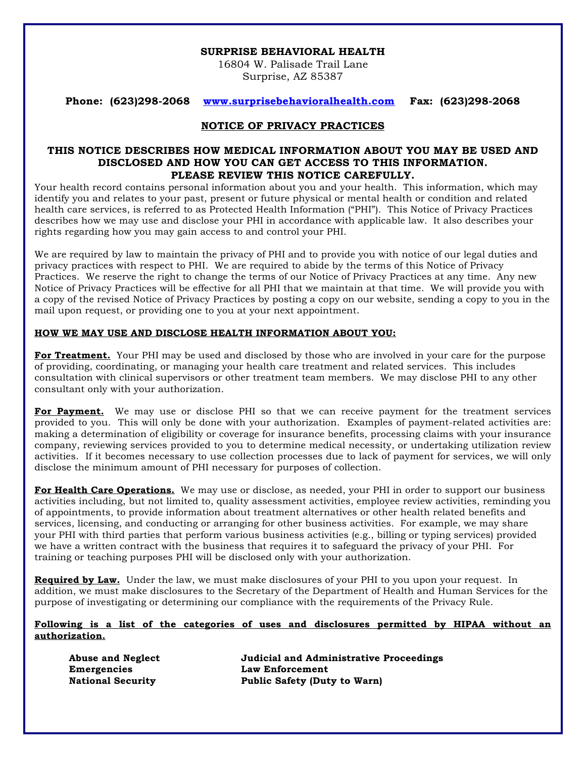#### **SURPRISE BEHAVIORAL HEALTH**

16804 W. Palisade Trail Lane Surprise, AZ 85387

**Phone: (623)298-2068 www.surprisebehavioralhealth.com Fax: (623)298-2068**

### **NOTICE OF PRIVACY PRACTICES**

### **THIS NOTICE DESCRIBES HOW MEDICAL INFORMATION ABOUT YOU MAY BE USED AND DISCLOSED AND HOW YOU CAN GET ACCESS TO THIS INFORMATION. PLEASE REVIEW THIS NOTICE CAREFULLY.**

Your health record contains personal information about you and your health. This information, which may identify you and relates to your past, present or future physical or mental health or condition and related health care services, is referred to as Protected Health Information ("PHI"). This Notice of Privacy Practices describes how we may use and disclose your PHI in accordance with applicable law. It also describes your rights regarding how you may gain access to and control your PHI.

We are required by law to maintain the privacy of PHI and to provide you with notice of our legal duties and privacy practices with respect to PHI. We are required to abide by the terms of this Notice of Privacy Practices. We reserve the right to change the terms of our Notice of Privacy Practices at any time. Any new Notice of Privacy Practices will be effective for all PHI that we maintain at that time. We will provide you with a copy of the revised Notice of Privacy Practices by posting a copy on our website, sending a copy to you in the mail upon request, or providing one to you at your next appointment.

### **HOW WE MAY USE AND DISCLOSE HEALTH INFORMATION ABOUT YOU:**

**For Treatment.** Your PHI may be used and disclosed by those who are involved in your care for the purpose of providing, coordinating, or managing your health care treatment and related services. This includes consultation with clinical supervisors or other treatment team members. We may disclose PHI to any other consultant only with your authorization.

**For Payment.** We may use or disclose PHI so that we can receive payment for the treatment services provided to you. This will only be done with your authorization. Examples of payment-related activities are: making a determination of eligibility or coverage for insurance benefits, processing claims with your insurance company, reviewing services provided to you to determine medical necessity, or undertaking utilization review activities. If it becomes necessary to use collection processes due to lack of payment for services, we will only disclose the minimum amount of PHI necessary for purposes of collection.

**For Health Care Operations.** We may use or disclose, as needed, your PHI in order to support our business activities including, but not limited to, quality assessment activities, employee review activities, reminding you of appointments, to provide information about treatment alternatives or other health related benefits and services, licensing, and conducting or arranging for other business activities. For example, we may share your PHI with third parties that perform various business activities (e.g., billing or typing services) provided we have a written contract with the business that requires it to safeguard the privacy of your PHI. For training or teaching purposes PHI will be disclosed only with your authorization.

**Required by Law.** Under the law, we must make disclosures of your PHI to you upon your request. In addition, we must make disclosures to the Secretary of the Department of Health and Human Services for the purpose of investigating or determining our compliance with the requirements of the Privacy Rule.

#### **Following is a list of the categories of uses and disclosures permitted by HIPAA without an authorization.**

**Emergencies Law Enforcement**

**Abuse and Neglect Judicial and Administrative Proceedings National Security Public Safety (Duty to Warn)**